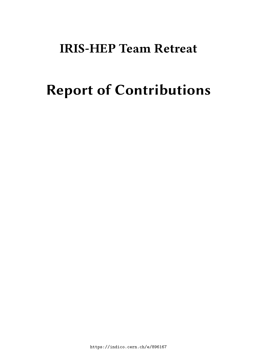# **IRIS-HEP Team Retreat**

# **Report of Contributions**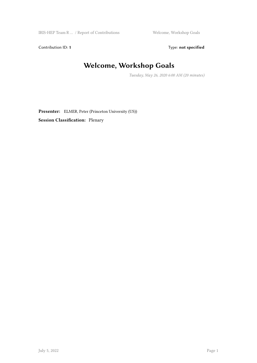Contribution ID: 1 Type: **not specified** 

#### **Welcome, Workshop Goals**

*Tuesday, May 26, 2020 6:00 AM (20 minutes)*

**Presenter:** ELMER, Peter (Princeton University (US)) **Session Classification:** Plenary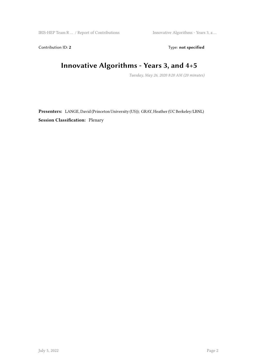Contribution ID: 2 Type: **not specified** 

# **Innovative Algorithms - Years 3, and 4+5**

*Tuesday, May 26, 2020 8:20 AM (20 minutes)*

**Presenters:** LANGE, David (Princeton University (US)); GRAY, Heather (UC Berkeley/LBNL) **Session Classification:** Plenary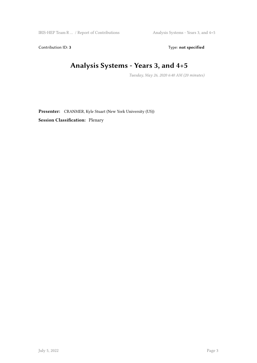Contribution ID: 3 Type: **not specified** 

# **Analysis Systems - Years 3, and 4+5**

*Tuesday, May 26, 2020 6:40 AM (20 minutes)*

**Presenter:** CRANMER, Kyle Stuart (New York University (US)) **Session Classification:** Plenary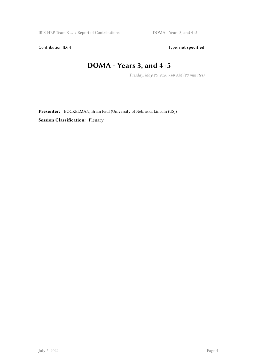Contribution ID: 4 Type: **not specified** 

#### **DOMA - Years 3, and 4+5**

*Tuesday, May 26, 2020 7:00 AM (20 minutes)*

**Presenter:** BOCKELMAN, Brian Paul (University of Nebraska Lincoln (US)) **Session Classification:** Plenary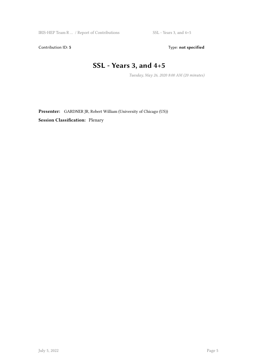Contribution ID: 5 Type: **not specified** 

#### **SSL - Years 3, and 4+5**

*Tuesday, May 26, 2020 8:00 AM (20 minutes)*

**Presenter:** GARDNER JR, Robert William (University of Chicago (US)) **Session Classification:** Plenary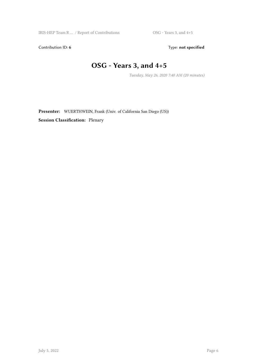Contribution ID: 6 Type: not specified

# **OSG - Years 3, and 4+5**

*Tuesday, May 26, 2020 7:40 AM (20 minutes)*

**Presenter:** WUERTHWEIN, Frank (Univ. of California San Diego (US)) **Session Classification:** Plenary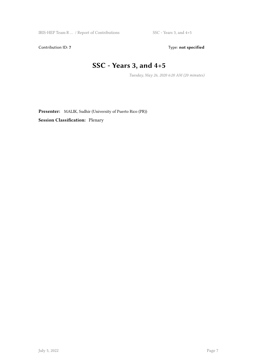Contribution ID: 7 Type: **not specified** 

# **SSC - Years 3, and 4+5**

*Tuesday, May 26, 2020 6:20 AM (20 minutes)*

**Presenter:** MALIK, Sudhir (University of Puerto Rico (PR)) **Session Classification:** Plenary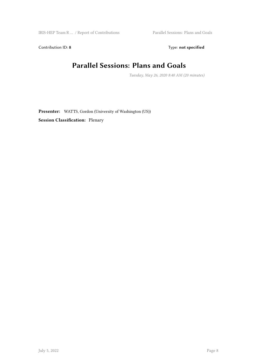Contribution ID: 8 Type: not specified

#### **Parallel Sessions: Plans and Goals**

*Tuesday, May 26, 2020 8:40 AM (20 minutes)*

**Presenter:** WATTS, Gordon (University of Washington (US)) **Session Classification:** Plenary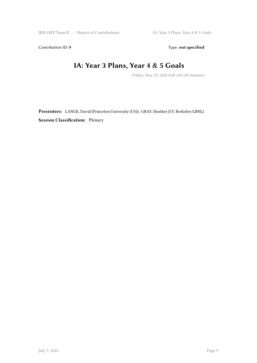Contribution ID: 9 Type: **not specified** 

#### **IA: Year 3 Plans, Year 4 & 5 Goals**

*Friday, May 29, 2020 8:00 AM (20 minutes)*

**Presenters:** LANGE, David (Princeton University (US)); GRAY, Heather (UC Berkeley/LBNL) **Session Classification:** Plenary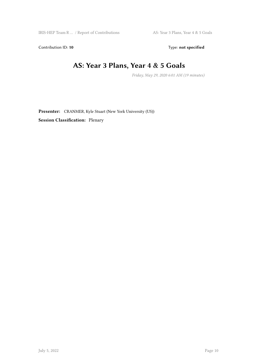Contribution ID: 10 Type: not specified

#### **AS: Year 3 Plans, Year 4 & 5 Goals**

*Friday, May 29, 2020 6:01 AM (19 minutes)*

**Presenter:** CRANMER, Kyle Stuart (New York University (US)) **Session Classification:** Plenary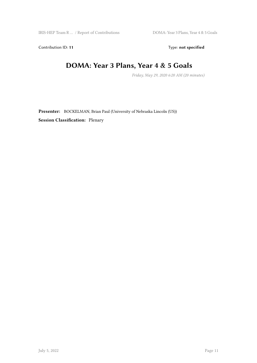Contribution ID: 11 Type: **not specified** 

#### **DOMA: Year 3 Plans, Year 4 & 5 Goals**

*Friday, May 29, 2020 6:20 AM (20 minutes)*

**Presenter:** BOCKELMAN, Brian Paul (University of Nebraska Lincoln (US)) **Session Classification:** Plenary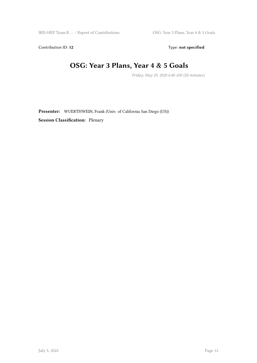Contribution ID: 12 Type: **not specified** 

#### **OSG: Year 3 Plans, Year 4 & 5 Goals**

*Friday, May 29, 2020 6:40 AM (20 minutes)*

**Presenter:** WUERTHWEIN, Frank (Univ. of California San Diego (US)) **Session Classification:** Plenary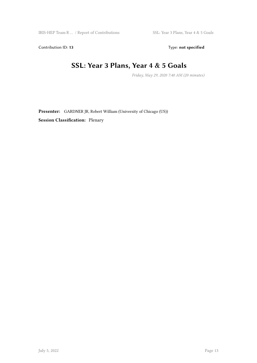Contribution ID: 13 Type: **not specified** 

#### **SSL: Year 3 Plans, Year 4 & 5 Goals**

*Friday, May 29, 2020 7:40 AM (20 minutes)*

**Presenter:** GARDNER JR, Robert William (University of Chicago (US)) **Session Classification:** Plenary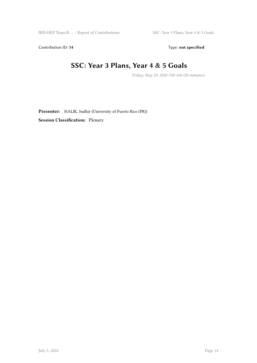Contribution ID: 14 Type: **not specified** 

#### **SSC: Year 3 Plans, Year 4 & 5 Goals**

*Friday, May 29, 2020 7:00 AM (20 minutes)*

**Presenter:** MALIK, Sudhir (University of Puerto Rico (PR)) **Session Classification:** Plenary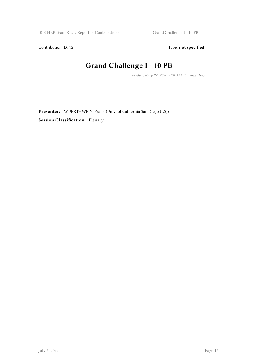Contribution ID: 15 Type: **not specified** 

# **Grand Challenge I - 10 PB**

*Friday, May 29, 2020 8:20 AM (15 minutes)*

**Presenter:** WUERTHWEIN, Frank (Univ. of California San Diego (US)) **Session Classification:** Plenary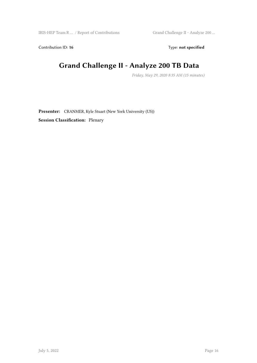Contribution ID: 16 Type: not specified

#### **Grand Challenge II - Analyze 200 TB Data**

*Friday, May 29, 2020 8:35 AM (15 minutes)*

**Presenter:** CRANMER, Kyle Stuart (New York University (US)) **Session Classification:** Plenary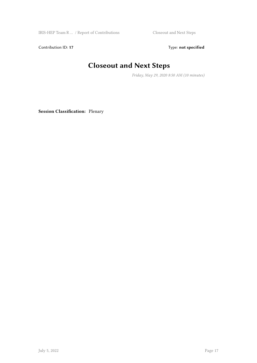IRIS-HEP Team R … / Report of Contributions Closeout and Next Steps

Contribution ID: 17 Type: **not specified** 

# **Closeout and Next Steps**

*Friday, May 29, 2020 8:50 AM (10 minutes)*

**Session Classification:** Plenary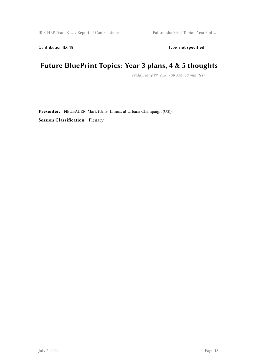Contribution ID: 18 Type: **not specified** 

#### **Future BluePrint Topics: Year 3 plans, 4 & 5 thoughts**

*Friday, May 29, 2020 7:30 AM (10 minutes)*

**Presenter:** NEUBAUER, Mark (Univ. Illinois at Urbana Champaign (US)) **Session Classification:** Plenary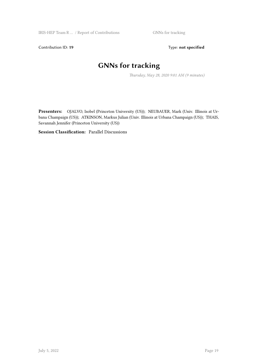Contribution ID: 19 Type: **not specified** 

# **GNNs for tracking**

*Thursday, May 28, 2020 9:01 AM (9 minutes)*

**Presenters:** OJALVO, Isobel (Princeton University (US)); NEUBAUER, Mark (Univ. Illinois at Urbana Champaign (US)); ATKINSON, Markus Julian (Univ. Illinois at Urbana Champaign (US)); THAIS, Savannah Jennifer (Princeton University (US))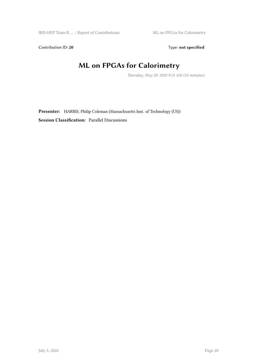Contribution ID: 20 Type: **not specified** 

# **ML on FPGAs for Calorimetry**

*Thursday, May 28, 2020 9:15 AM (10 minutes)*

**Presenter:** HARRIS, Philip Coleman (Massachusetts Inst. of Technology (US)) **Session Classification:** Parallel Discussions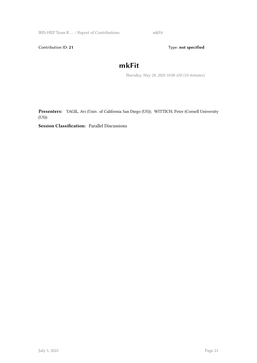IRIS-HEP Team R … / Report of Contributions mkFit

Contribution ID: 21 Type: **not specified** 

#### **mkFit**

*Thursday, May 28, 2020 10:00 AM (10 minutes)*

**Presenters:** YAGIL, Avi (Univ. of California San Diego (US)); WITTICH, Peter (Cornell University (US))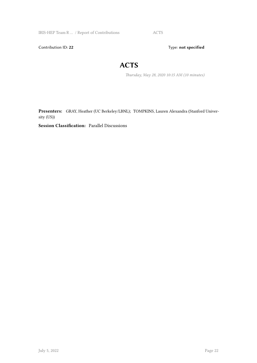IRIS-HEP Team R … / Report of Contributions ACTS

Contribution ID: 22 Type: **not specified** 

#### **ACTS**

*Thursday, May 28, 2020 10:15 AM (10 minutes)*

**Presenters:** GRAY, Heather (UC Berkeley/LBNL); TOMPKINS, Lauren Alexandra (Stanford University (US))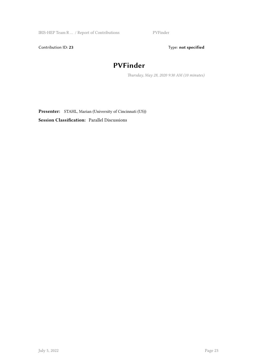IRIS-HEP Team R … / Report of Contributions PVFinder

Contribution ID: 23 Type: **not specified** 

# **PVFinder**

*Thursday, May 28, 2020 9:30 AM (10 minutes)*

**Presenter:** STAHL, Marian (University of Cincinnati (US)) **Session Classification:** Parallel Discussions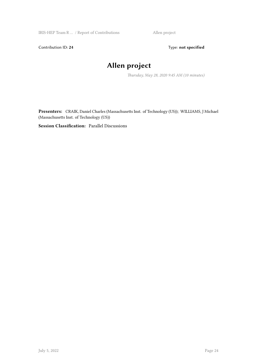Contribution ID: 24 Type: **not specified** 

# **Allen project**

*Thursday, May 28, 2020 9:45 AM (10 minutes)*

**Presenters:** CRAIK, Daniel Charles (Massachusetts Inst. of Technology (US)); WILLIAMS, J Michael (Massachusetts Inst. of Technology (US))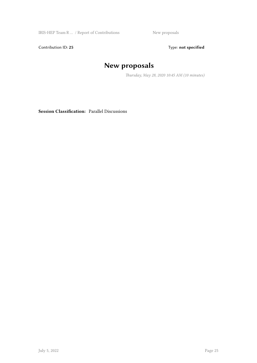IRIS-HEP Team R ... / Report of Contributions New proposals

Contribution ID: 25 Type: **not specified** 

# **New proposals**

*Thursday, May 28, 2020 10:45 AM (10 minutes)*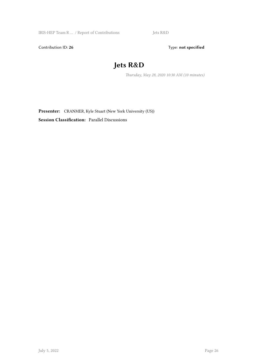Contribution ID: 26 Type: **not specified** 

# **Jets R&D**

*Thursday, May 28, 2020 10:30 AM (10 minutes)*

**Presenter:** CRANMER, Kyle Stuart (New York University (US)) **Session Classification:** Parallel Discussions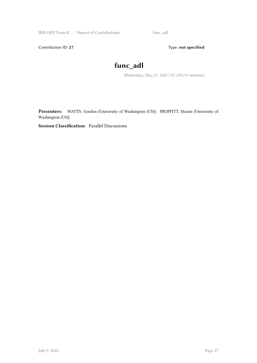IRIS-HEP Team R … / Report of Contributions func\_adl

Contribution ID: 27 Type: **not specified** 

#### **func\_adl**

*Wednesday, May 27, 2020 7:41 AM (19 minutes)*

**Presenters:** WATTS, Gordon (University of Washington (US)); PROFFITT, Mason (University of Washington (US))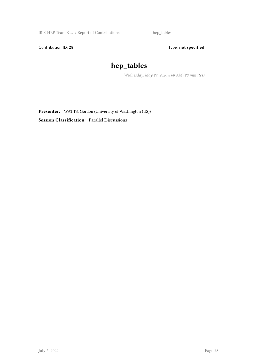Contribution ID: 28 Type: **not specified** 

# **hep\_tables**

*Wednesday, May 27, 2020 8:00 AM (20 minutes)*

**Presenter:** WATTS, Gordon (University of Washington (US)) **Session Classification:** Parallel Discussions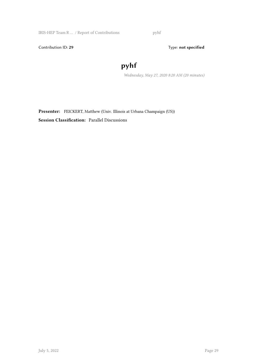IRIS-HEP Team R  $\dots$  / Report of Contributions  $~~$  pyhf

Contribution ID: 29 Type: **not specified** 

# **pyhf**

*Wednesday, May 27, 2020 8:20 AM (20 minutes)*

**Presenter:** FEICKERT, Matthew (Univ. Illinois at Urbana Champaign (US)) **Session Classification:** Parallel Discussions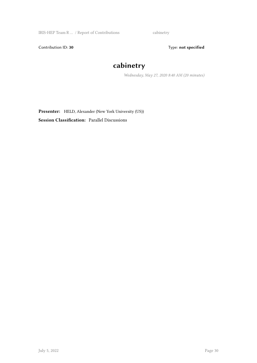IRIS-HEP Team R … / Report of Contributions cabinetry

Contribution ID: 30 Type: **not specified** 

# **cabinetry**

*Wednesday, May 27, 2020 8:40 AM (20 minutes)*

**Presenter:** HELD, Alexander (New York University (US)) **Session Classification:** Parallel Discussions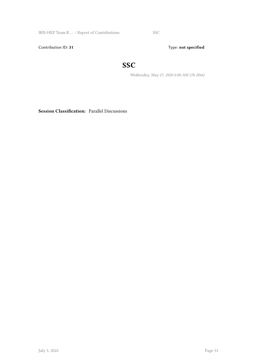IRIS-HEP Team R ... / Report of Contributions SSC

Contribution ID: 31 Type: **not specified** 

#### **SSC**

*Wednesday, May 27, 2020 6:00 AM (1h 20m)*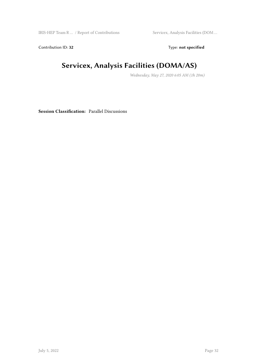Contribution ID: 32 Type: **not specified** 

# **Servicex, Analysis Facilities (DOMA/AS)**

*Wednesday, May 27, 2020 6:05 AM (1h 20m)*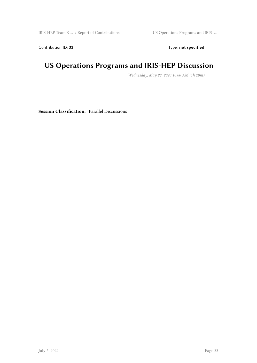Contribution ID: 33 Type: **not specified** 

# **US Operations Programs and IRIS-HEP Discussion**

*Wednesday, May 27, 2020 10:00 AM (1h 20m)*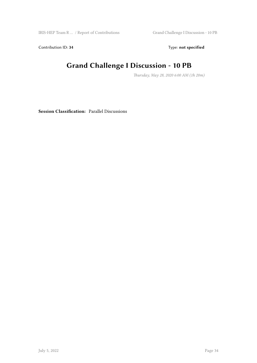Contribution ID: 34 Type: **not specified** 

# **Grand Challenge I Discussion - 10 PB**

*Thursday, May 28, 2020 6:00 AM (1h 20m)*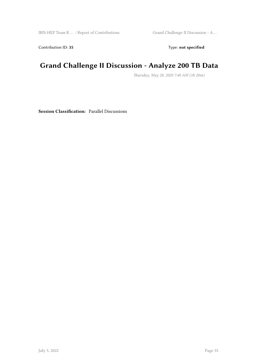Contribution ID: 35 Type: **not specified** 

#### **Grand Challenge II Discussion - Analyze 200 TB Data**

*Thursday, May 28, 2020 7:40 AM (1h 20m)*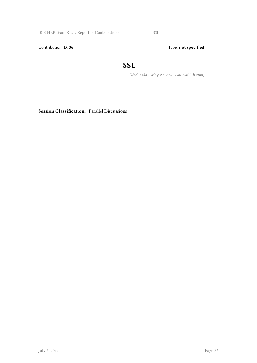IRIS-HEP Team R ... / Report of Contributions SSL

Contribution ID: 36 Type: **not specified** 

#### **SSL**

*Wednesday, May 27, 2020 7:40 AM (1h 20m)*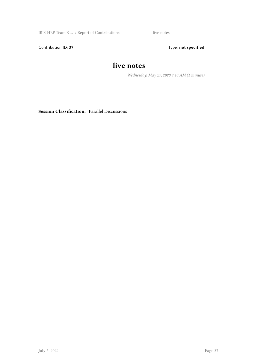IRIS-HEP Team R … / Report of Contributions live notes

Contribution ID: 37 Type: **not specified** 

#### **live notes**

*Wednesday, May 27, 2020 7:40 AM (1 minute)*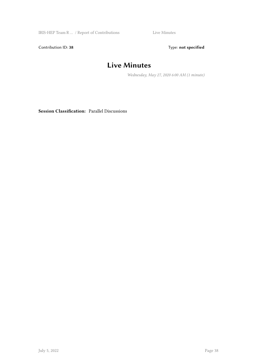IRIS-HEP Team R … / Report of Contributions Live Minutes

Contribution ID: 38 Type: **not specified** 

#### **Live Minutes**

*Wednesday, May 27, 2020 6:00 AM (1 minute)*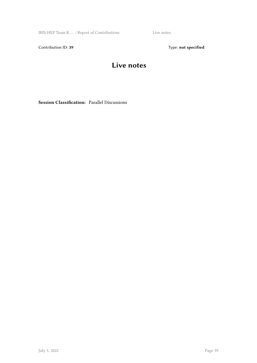IRIS-HEP Team R … / Report of Contributions Live notes

Contribution ID: 39 Type: **not specified** 

#### **Live notes**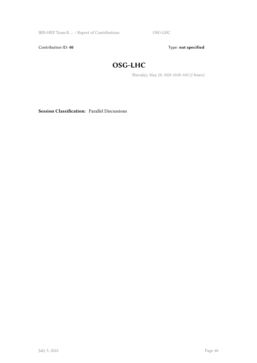IRIS-HEP Team R … / Report of Contributions OSG-LHC

Contribution ID: 40 **Type:** not specified

#### **OSG-LHC**

*Thursday, May 28, 2020 10:00 AM (2 hours)*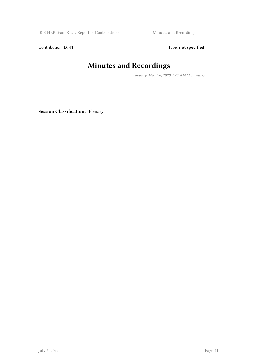IRIS-HEP Team R ... / Report of Contributions Minutes and Recordings

Contribution ID: 41 Type: **not specified** 

# **Minutes and Recordings**

*Tuesday, May 26, 2020 7:20 AM (1 minute)*

**Session Classification:** Plenary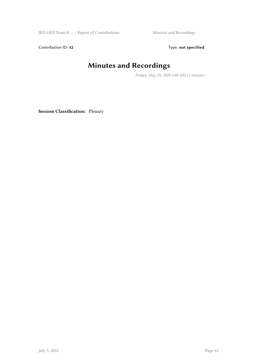IRIS-HEP Team R ... / Report of Contributions Minutes and Recordings

Contribution ID: 42 Type: **not specified** 

# **Minutes and Recordings**

*Friday, May 29, 2020 6:00 AM (1 minute)*

**Session Classification:** Plenary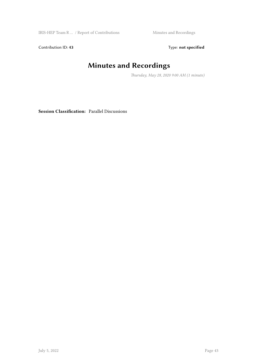IRIS-HEP Team R ... / Report of Contributions Minutes and Recordings

Contribution ID: 43 Type: **not specified** 

# **Minutes and Recordings**

*Thursday, May 28, 2020 9:00 AM (1 minute)*